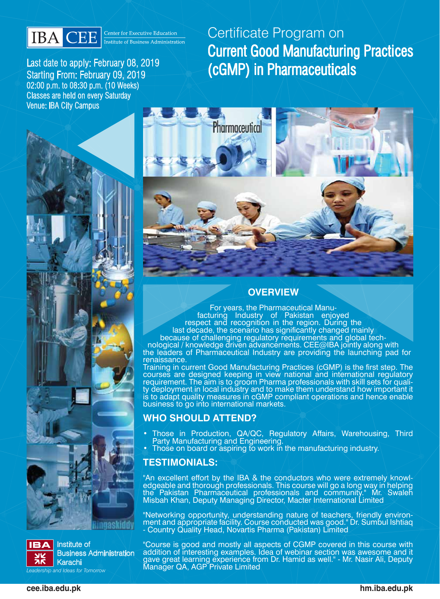

Last date to apply: February 08, 2019 Starting From: February 09, 2019 02:00 p.m. to 08:30 p.m. (10 Weeks) Classes are held on every Saturday Venue: IBA City Campus

# Certificate Program on Current Good Manufacturing Practices (cGMP) in Pharmaceuticals





Institute of Business Administration Karachi *Leadership and Ideas for Tomorrow*



### **OVERVIEW**

For years, the Pharmaceutical Manu- facturing Industry of Pakistan enjoyed respect and recognition in the region. During the last decade, the scenario has significantly changed mainly

because of challenging regulatory requirements and global tech- nological / knowledge driven advancements. CEE@IBA jointly along with the leaders of Pharmaceutical Industry are providing the launching pad for renaissance.

Training in current Good Manufacturing Practices (cGMP) is the first step. The courses are designed keeping in view national and international regulatory requirement. The aim is to groom Pharma professionals with skill sets for quali-<br>ty deployment in local industry and to make them understand how important it is to adapt quality measures in cGMP compliant operations and hence enable business to go into international markets.

### **WHO SHOULD ATTEND?**

- Those in Production, QA/QC, Regulatory Affairs, Warehousing, Third **Party Manufacturing and Engineering.**
- Those on board or aspiring to work in the manufacturing industry.

#### **TESTIMONIALS:**

"An excellent effort by the IBA & the conductors who were extremely knowl-<br>edgeable and thorough professionals. This course will go a long way in helping the Pakistan Pharmaceutical professionals and community." Mr. Swaleh Misbah Khan, Deputy Managing Director, Macter International Limited

"Networking opportunity, understanding nature of teachers, friendly environ-<br>ment and appropriate facility. Course conducted was good." Dr. Sumbul Ishtiaq - Country Quality Head, Novartis Pharma (Pakistan) Limited

"Course is good and mostly all aspects of CGMP covered in this course with addition of interesting examples. Idea of webinar section was awesome and it gave great learning experience from Dr. Hamid as well." - Mr. Nasir Ali, Deputy Manager QA, AGP Private Limited